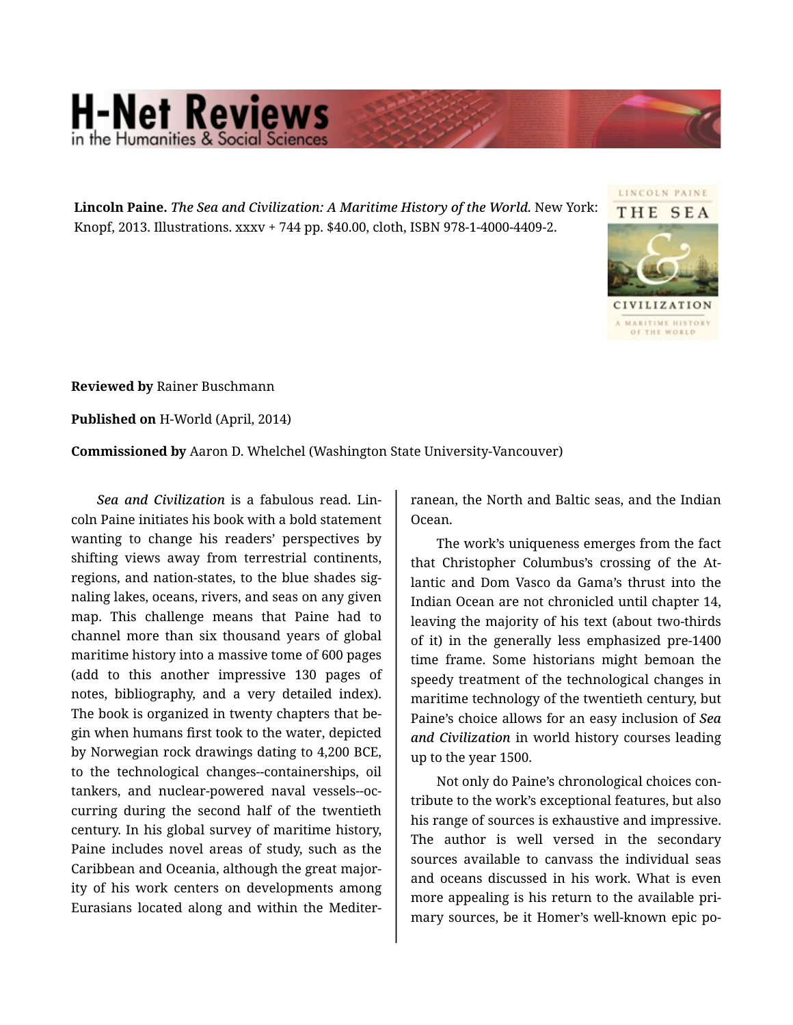## **H-Net Reviews** in the Humanities & Social S

**Lincoln Paine.** *The Sea and Civilization: A Maritime History of the World.* New York: Knopf, 2013. Illustrations. xxxv + 744 pp. \$40.00, cloth, ISBN 978-1-4000-4409-2.



**Reviewed by** Rainer Buschmann

**Published on** H-World (April, 2014)

**Commissioned by** Aaron D. Whelchel (Washington State University-Vancouver)

*Sea and Civilization* is a fabulous read. Lin‐ coln Paine initiates his book with a bold statement wanting to change his readers' perspectives by shifting views away from terrestrial continents, regions, and nation-states, to the blue shades sig‐ naling lakes, oceans, rivers, and seas on any given map. This challenge means that Paine had to channel more than six thousand years of global maritime history into a massive tome of 600 pages (add to this another impressive 130 pages of notes, bibliography, and a very detailed index). The book is organized in twenty chapters that be‐ gin when humans first took to the water, depicted by Norwegian rock drawings dating to 4,200 BCE, to the technological changes--containerships, oil tankers, and nuclear-powered naval vessels--oc‐ curring during the second half of the twentieth century. In his global survey of maritime history, Paine includes novel areas of study, such as the Caribbean and Oceania, although the great major‐ ity of his work centers on developments among Eurasians located along and within the Mediter‐

ranean, the North and Baltic seas, and the Indian Ocean.

The work's uniqueness emerges from the fact that Christopher Columbus's crossing of the At‐ lantic and Dom Vasco da Gama's thrust into the Indian Ocean are not chronicled until chapter 14, leaving the majority of his text (about two-thirds of it) in the generally less emphasized pre-1400 time frame. Some historians might bemoan the speedy treatment of the technological changes in maritime technology of the twentieth century, but Paine's choice allows for an easy inclusion of *Sea and Civilization* in world history courses leading up to the year 1500.

Not only do Paine's chronological choices con‐ tribute to the work's exceptional features, but also his range of sources is exhaustive and impressive. The author is well versed in the secondary sources available to canvass the individual seas and oceans discussed in his work. What is even more appealing is his return to the available pri‐ mary sources, be it Homer's well-known epic po‐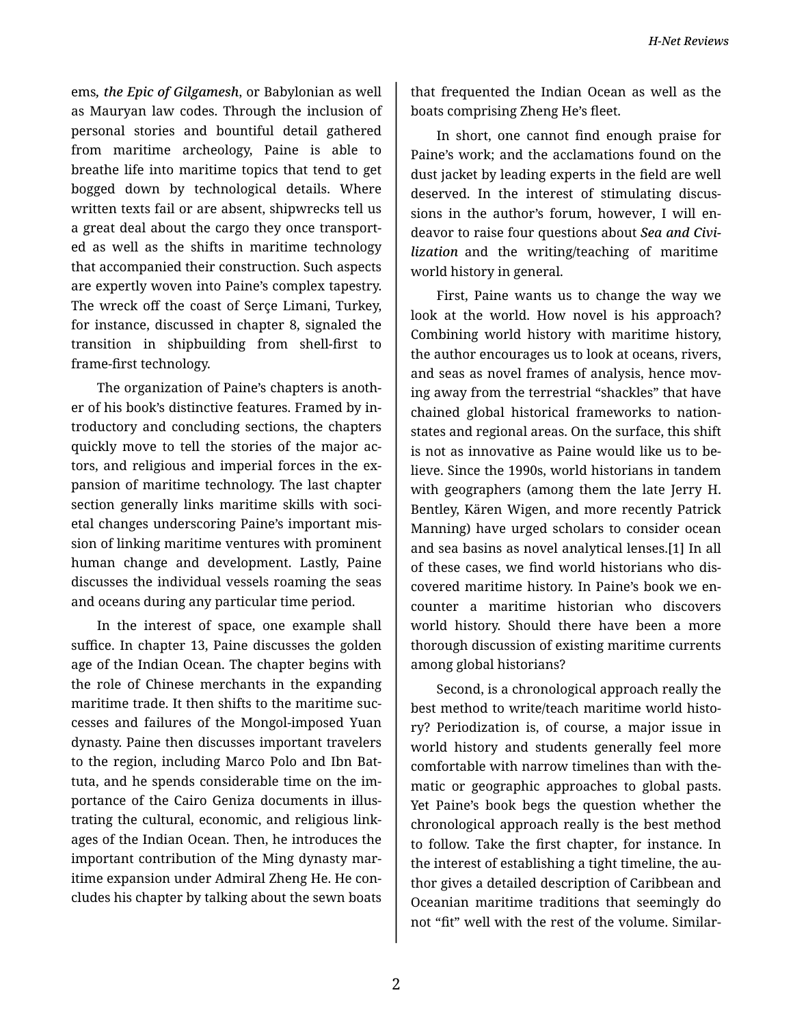ems*, the Epic of Gilgamesh*, or Babylonian as well as Mauryan law codes. Through the inclusion of personal stories and bountiful detail gathered from maritime archeology, Paine is able to breathe life into maritime topics that tend to get bogged down by technological details. Where written texts fail or are absent, shipwrecks tell us a great deal about the cargo they once transport‐ ed as well as the shifts in maritime technology that accompanied their construction. Such aspects are expertly woven into Paine's complex tapestry. The wreck off the coast of Serçe Limani, Turkey, for instance, discussed in chapter 8, signaled the transition in shipbuilding from shell-first to frame-first technology.

The organization of Paine's chapters is anoth‐ er of his book's distinctive features. Framed by in‐ troductory and concluding sections, the chapters quickly move to tell the stories of the major ac‐ tors, and religious and imperial forces in the ex‐ pansion of maritime technology. The last chapter section generally links maritime skills with societal changes underscoring Paine's important mis‐ sion of linking maritime ventures with prominent human change and development. Lastly, Paine discusses the individual vessels roaming the seas and oceans during any particular time period.

In the interest of space, one example shall suffice. In chapter 13, Paine discusses the golden age of the Indian Ocean. The chapter begins with the role of Chinese merchants in the expanding maritime trade. It then shifts to the maritime suc‐ cesses and failures of the Mongol-imposed Yuan dynasty. Paine then discusses important travelers to the region, including Marco Polo and Ibn Bat‐ tuta, and he spends considerable time on the im‐ portance of the Cairo Geniza documents in illus‐ trating the cultural, economic, and religious link‐ ages of the Indian Ocean. Then, he introduces the important contribution of the Ming dynasty mar‐ itime expansion under Admiral Zheng He. He con‐ cludes his chapter by talking about the sewn boats

that frequented the Indian Ocean as well as the boats comprising Zheng He's fleet.

In short, one cannot find enough praise for Paine's work; and the acclamations found on the dust jacket by leading experts in the field are well deserved. In the interest of stimulating discus‐ sions in the author's forum, however, I will en‐ deavor to raise four questions about *Sea and Civi‐ lization* and the writing/teaching of maritime world history in general.

First, Paine wants us to change the way we look at the world. How novel is his approach? Combining world history with maritime history, the author encourages us to look at oceans, rivers, and seas as novel frames of analysis, hence mov‐ ing away from the terrestrial "shackles" that have chained global historical frameworks to nationstates and regional areas. On the surface, this shift is not as innovative as Paine would like us to be‐ lieve. Since the 1990s, world historians in tandem with geographers (among them the late Jerry H. Bentley, Kären Wigen, and more recently Patrick Manning) have urged scholars to consider ocean and sea basins as novel analytical lenses.[1] In all of these cases, we find world historians who dis‐ covered maritime history. In Paine's book we en‐ counter a maritime historian who discovers world history. Should there have been a more thorough discussion of existing maritime currents among global historians?

Second, is a chronological approach really the best method to write/teach maritime world histo‐ ry? Periodization is, of course, a major issue in world history and students generally feel more comfortable with narrow timelines than with the‐ matic or geographic approaches to global pasts. Yet Paine's book begs the question whether the chronological approach really is the best method to follow. Take the first chapter, for instance. In the interest of establishing a tight timeline, the au‐ thor gives a detailed description of Caribbean and Oceanian maritime traditions that seemingly do not "fit" well with the rest of the volume. Similar‐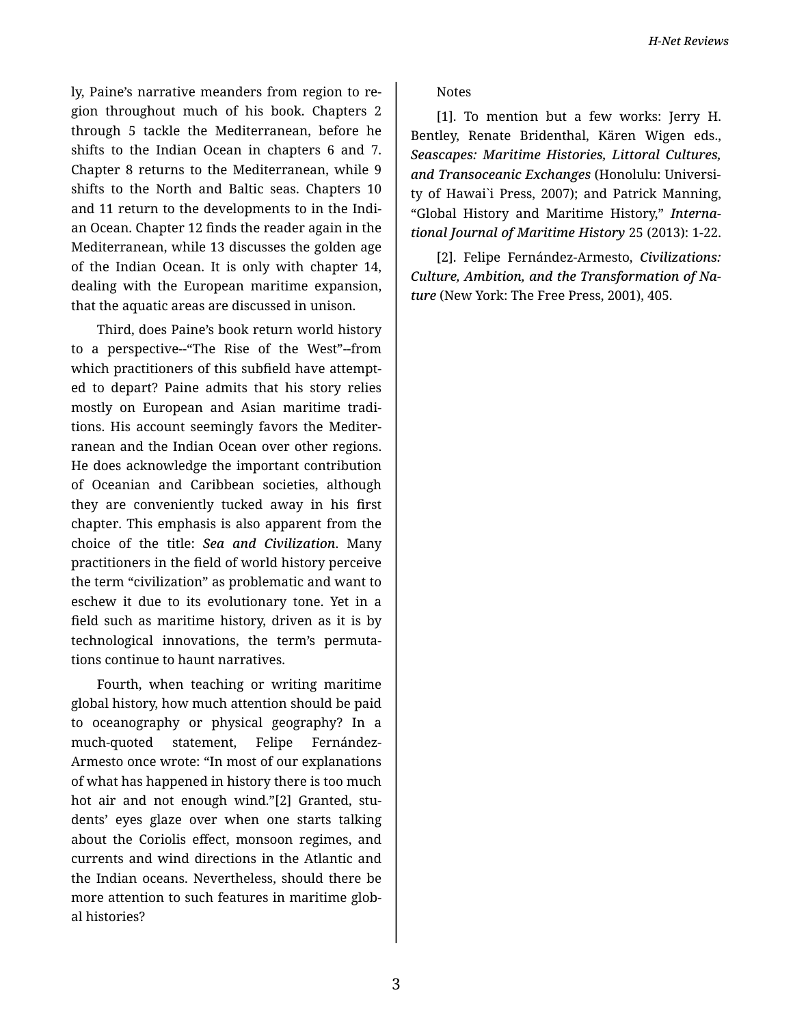ly, Paine's narrative meanders from region to re‐ gion throughout much of his book. Chapters 2 through 5 tackle the Mediterranean, before he shifts to the Indian Ocean in chapters 6 and 7. Chapter 8 returns to the Mediterranean, while 9 shifts to the North and Baltic seas. Chapters 10 and 11 return to the developments to in the Indi‐ an Ocean. Chapter 12 finds the reader again in the Mediterranean, while 13 discusses the golden age of the Indian Ocean. It is only with chapter 14, dealing with the European maritime expansion, that the aquatic areas are discussed in unison.

Third, does Paine's book return world history to a perspective--"The Rise of the West"--from which practitioners of this subfield have attempt‐ ed to depart? Paine admits that his story relies mostly on European and Asian maritime tradi‐ tions. His account seemingly favors the Mediter‐ ranean and the Indian Ocean over other regions. He does acknowledge the important contribution of Oceanian and Caribbean societies, although they are conveniently tucked away in his first chapter. This emphasis is also apparent from the choice of the title: *Sea and Civilization*. Many practitioners in the field of world history perceive the term "civilization" as problematic and want to eschew it due to its evolutionary tone. Yet in a field such as maritime history, driven as it is by technological innovations, the term's permuta‐ tions continue to haunt narratives.

Fourth, when teaching or writing maritime global history, how much attention should be paid to oceanography or physical geography? In a much-quoted statement, Felipe Fernández-Armesto once wrote: "In most of our explanations of what has happened in history there is too much hot air and not enough wind."[2] Granted, stu‐ dents' eyes glaze over when one starts talking about the Coriolis effect, monsoon regimes, and currents and wind directions in the Atlantic and the Indian oceans. Nevertheless, should there be more attention to such features in maritime glob‐ al histories?

Notes

[1]. To mention but a few works: Jerry H. Bentley, Renate Bridenthal, Kären Wigen eds., *Seascapes: Maritime Histories, Littoral Cultures, and Transoceanic Exchanges* (Honolulu: Universi‐ ty of Hawai`i Press, 2007); and Patrick Manning, "Global History and Maritime History," *Interna‐ tional Journal of Maritime History* 25 (2013): 1-22.

[2]. Felipe Fernández-Armesto, *Civilizations: Culture, Ambition, and the Transformation of Na‐ ture* (New York: The Free Press, 2001), 405.